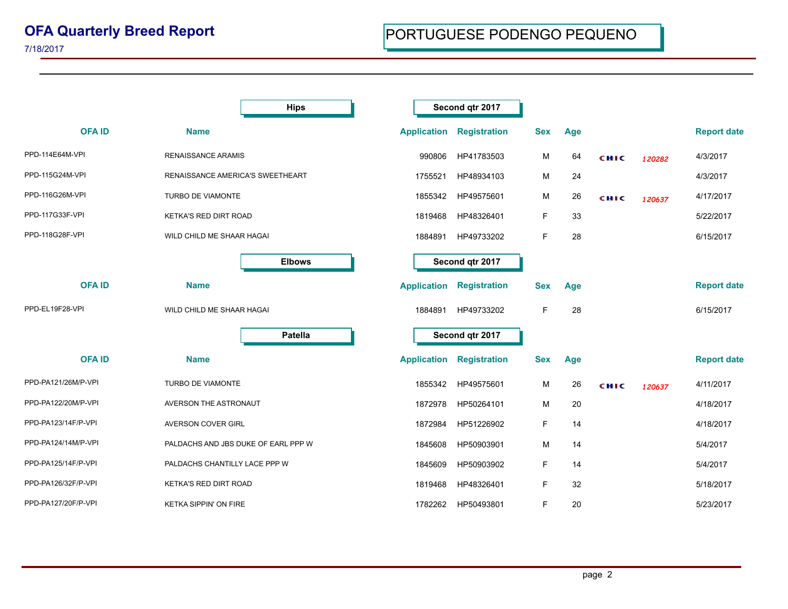|                     | <b>Hips</b>                         | Second qtr 2017    |                     |            |     |      |        |                    |
|---------------------|-------------------------------------|--------------------|---------------------|------------|-----|------|--------|--------------------|
| <b>OFAID</b>        | <b>Name</b>                         | <b>Application</b> | <b>Registration</b> | <b>Sex</b> | Age |      |        | <b>Report date</b> |
| PPD-114E64M-VPI     | <b>RENAISSANCE ARAMIS</b>           | 990806             | HP41783503          | М          | 64  | сніс | 120282 | 4/3/2017           |
| PPD-115G24M-VPI     | RENAISSANCE AMERICA'S SWEETHEART    | 1755521            | HP48934103          | м          | 24  |      |        | 4/3/2017           |
| PPD-116G26M-VPI     | TURBO DE VIAMONTE                   | 1855342            | HP49575601          | м          | 26  | CHIC | 120637 | 4/17/2017          |
| PPD-117G33F-VPI     | KETKA'S RED DIRT ROAD               | 1819468            | HP48326401          | F          | 33  |      |        | 5/22/2017          |
| PPD-118G28F-VPI     | WILD CHILD ME SHAAR HAGAI           | 1884891            | HP49733202          | F          | 28  |      |        | 6/15/2017          |
|                     | <b>Elbows</b>                       | Second qtr 2017    |                     |            |     |      |        |                    |
| <b>OFAID</b>        | <b>Name</b>                         | <b>Application</b> | <b>Registration</b> | <b>Sex</b> | Age |      |        | <b>Report date</b> |
| PPD-EL19F28-VPI     | WILD CHILD ME SHAAR HAGAI           | 1884891            | HP49733202          | F          | 28  |      |        | 6/15/2017          |
|                     | <b>Patella</b>                      | Second qtr 2017    |                     |            |     |      |        |                    |
| <b>OFAID</b>        | <b>Name</b>                         | <b>Application</b> | <b>Registration</b> | <b>Sex</b> | Age |      |        | <b>Report date</b> |
| PPD-PA121/26M/P-VPI | TURBO DE VIAMONTE                   | 1855342            | HP49575601          | м          | 26  | CHIC | 120637 | 4/11/2017          |
| PPD-PA122/20M/P-VPI | AVERSON THE ASTRONAUT               | 1872978            | HP50264101          | м          | 20  |      |        | 4/18/2017          |
| PPD-PA123/14F/P-VPI | AVERSON COVER GIRL                  | 1872984            | HP51226902          | F          | 14  |      |        | 4/18/2017          |
| PPD-PA124/14M/P-VPI | PALDACHS AND JBS DUKE OF EARL PPP W | 1845608            | HP50903901          | М          | 14  |      |        | 5/4/2017           |
| PPD-PA125/14F/P-VPI | PALDACHS CHANTILLY LACE PPP W       | 1845609            | HP50903902          | F          | 14  |      |        | 5/4/2017           |
| PPD-PA126/32F/P-VPI | KETKA'S RED DIRT ROAD               | 1819468            | HP48326401          | F          | 32  |      |        | 5/18/2017          |
| PPD-PA127/20F/P-VPI | <b>KETKA SIPPIN' ON FIRE</b>        | 1782262            | HP50493801          | F          | 20  |      |        | 5/23/2017          |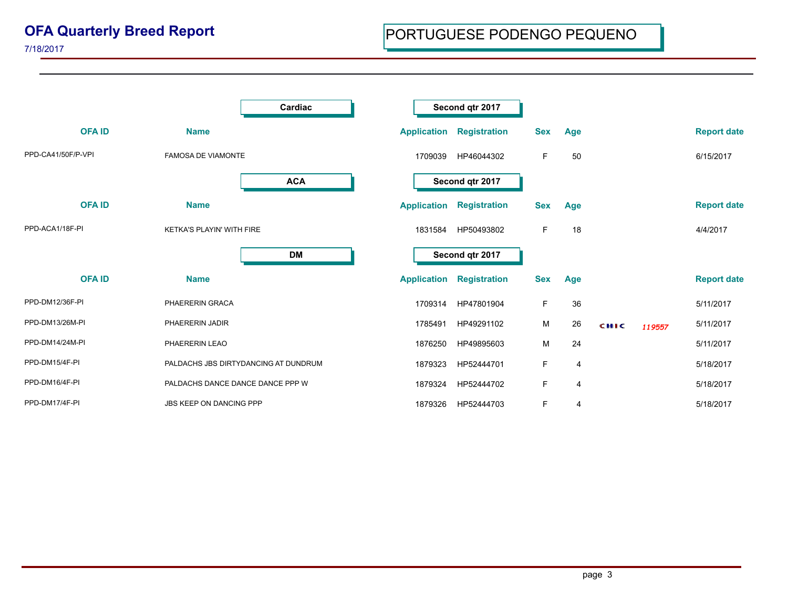|                    |                                      | Cardiac    | Second qtr 2017 |                    |                     |            |                |             |        |                    |
|--------------------|--------------------------------------|------------|-----------------|--------------------|---------------------|------------|----------------|-------------|--------|--------------------|
| <b>OFAID</b>       | <b>Name</b>                          |            |                 | <b>Application</b> | <b>Registration</b> | <b>Sex</b> | Age            |             |        | <b>Report date</b> |
| PPD-CA41/50F/P-VPI | <b>FAMOSA DE VIAMONTE</b>            |            |                 | 1709039            | HP46044302          | F.         | 50             |             |        | 6/15/2017          |
|                    |                                      | <b>ACA</b> |                 |                    | Second qtr 2017     |            |                |             |        |                    |
| <b>OFAID</b>       | <b>Name</b>                          |            |                 | <b>Application</b> | <b>Registration</b> | <b>Sex</b> | Age            |             |        | <b>Report date</b> |
| PPD-ACA1/18F-PI    | KETKA'S PLAYIN' WITH FIRE            |            |                 | 1831584            | HP50493802          | F          | 18             |             |        | 4/4/2017           |
|                    |                                      | DM         |                 |                    | Second qtr 2017     |            |                |             |        |                    |
| <b>OFA ID</b>      | <b>Name</b>                          |            |                 | <b>Application</b> | <b>Registration</b> | <b>Sex</b> | Age            |             |        | <b>Report date</b> |
| PPD-DM12/36F-PI    | PHAERERIN GRACA                      |            |                 | 1709314            | HP47801904          | F.         | 36             |             |        | 5/11/2017          |
| PPD-DM13/26M-PI    | PHAERERIN JADIR                      |            |                 | 1785491            | HP49291102          | М          | 26             | <b>CHIC</b> | 119557 | 5/11/2017          |
| PPD-DM14/24M-PI    | PHAERERIN LEAO                       |            |                 | 1876250            | HP49895603          | М          | 24             |             |        | 5/11/2017          |
| PPD-DM15/4F-PI     | PALDACHS JBS DIRTYDANCING AT DUNDRUM |            |                 | 1879323            | HP52444701          | F.         | 4              |             |        | 5/18/2017          |
| PPD-DM16/4F-PI     | PALDACHS DANCE DANCE DANCE PPP W     |            |                 | 1879324            | HP52444702          | F.         | $\overline{4}$ |             |        | 5/18/2017          |
| PPD-DM17/4F-PI     | JBS KEEP ON DANCING PPP              |            |                 | 1879326            | HP52444703          | F.         | 4              |             |        | 5/18/2017          |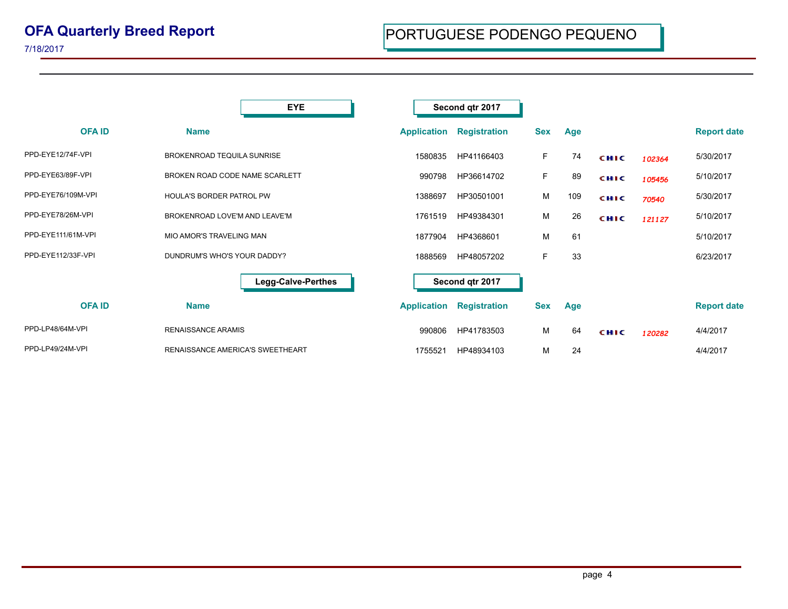|                    | <b>EYE</b>                              | Second qtr 2017    |                     |            |     |             |        |                    |
|--------------------|-----------------------------------------|--------------------|---------------------|------------|-----|-------------|--------|--------------------|
| <b>OFA ID</b>      | <b>Name</b>                             | <b>Application</b> | <b>Registration</b> | <b>Sex</b> | Age |             |        | <b>Report date</b> |
| PPD-EYE12/74F-VPI  | <b>BROKENROAD TEQUILA SUNRISE</b>       | 1580835            | HP41166403          | F.         | 74  | <b>CHIC</b> | 102364 | 5/30/2017          |
| PPD-EYE63/89F-VPI  | BROKEN ROAD CODE NAME SCARLETT          | 990798             | HP36614702          | F          | 89  | <b>CHIC</b> | 105456 | 5/10/2017          |
| PPD-EYE76/109M-VPI | HOULA'S BORDER PATROL PW                | 1388697            | HP30501001          | м          | 109 | CHIC        | 70540  | 5/30/2017          |
| PPD-EYE78/26M-VPI  | BROKENROAD LOVE'M AND LEAVE'M           | 1761519            | HP49384301          | м          | 26  | CHIC        | 121127 | 5/10/2017          |
| PPD-EYE111/61M-VPI | <b>MIO AMOR'S TRAVELING MAN</b>         | 1877904            | HP4368601           | м          | 61  |             |        | 5/10/2017          |
| PPD-EYE112/33F-VPI | DUNDRUM'S WHO'S YOUR DADDY?             | 1888569            | HP48057202          | F          | 33  |             |        | 6/23/2017          |
|                    | <b>Legg-Calve-Perthes</b>               |                    | Second qtr 2017     |            |     |             |        |                    |
| <b>OFAID</b>       | <b>Name</b>                             | <b>Application</b> | <b>Registration</b> | <b>Sex</b> | Age |             |        | <b>Report date</b> |
| PPD-LP48/64M-VPI   | <b>RENAISSANCE ARAMIS</b>               | 990806             | HP41783503          | м          | 64  | <b>CHIC</b> | 120282 | 4/4/2017           |
| PPD-LP49/24M-VPI   | <b>RENAISSANCE AMERICA'S SWEETHEART</b> | 1755521            | HP48934103          | м          | 24  |             |        | 4/4/2017           |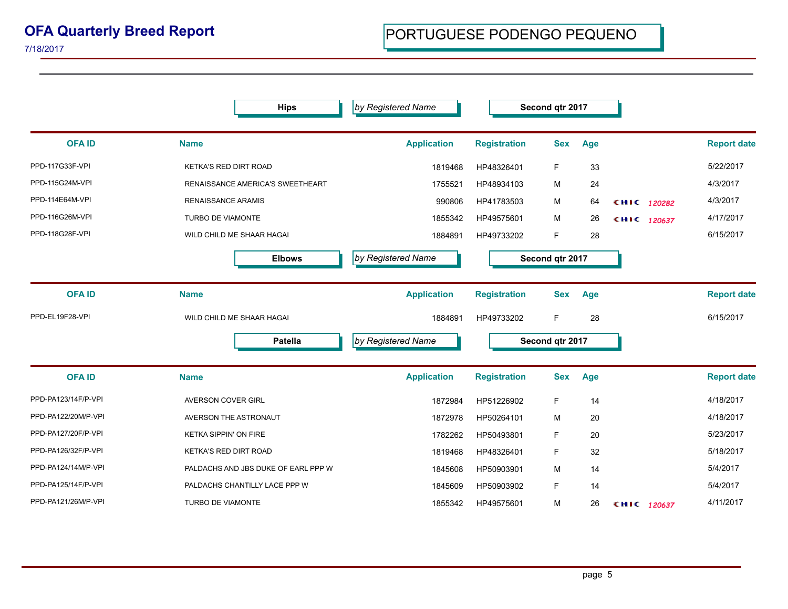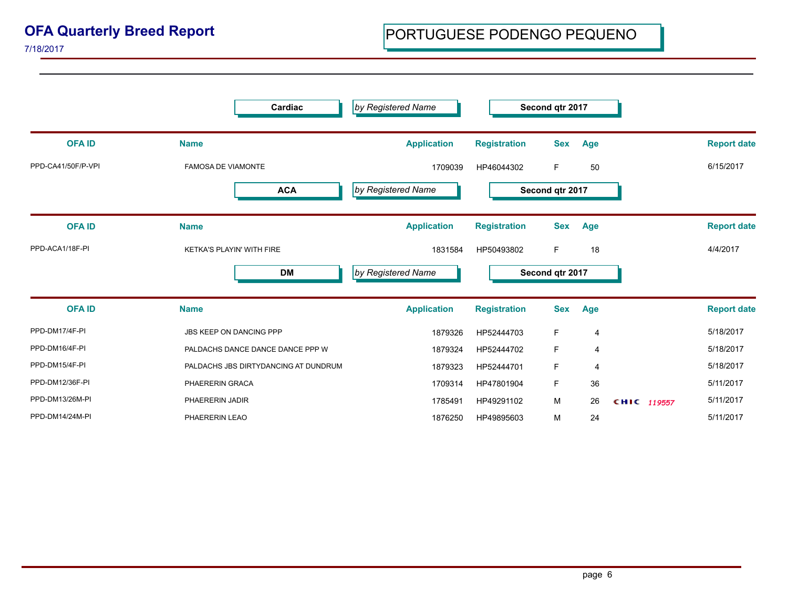